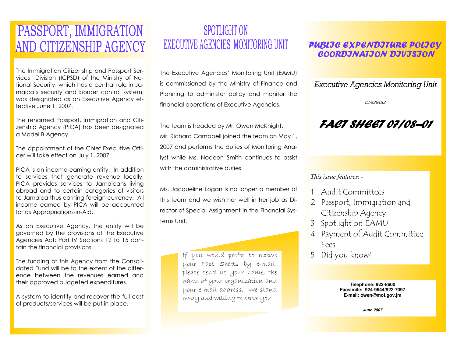## PASSPORT, IMMIGRATION AND CITIZENSHIP AGENCY

The Immigration Citizenship and Passport Services Division (ICPSD) of the Ministry of National Security, which has a central role in Jamaica's security and border control system, was designated as an Executive Agency effective June 1, 2007.

The renamed Passport, Immigration and Citizenship Agency (PICA) has been designated a Model B Agency.

The appointment of the Chief Executive Officer will take effect on July 1, 2007.

PICA is an income-earning entity. In addition to services that generate revenue locally, PICA provides services to Jamaicans living abroad and to certain categories of visitors to Jamaica thus earning foreign currency. All income earned by PICA will be accounted for as Appropriations-in-Aid.

As an Executive Agency, the entity will be governed by the provisions of the Executive Agencies Act; Part IV Sections 12 to 15 contain the financial provisions.

The funding of this Agency from the Consolidated Fund will be to the extent of the difference between the revenues earned and their approved budgeted expenditures.

A system to identify and recover the full cost of products/services will be put in place.

### **SPOTLIGHT ON** EXECUTIVE AGENCIES' MONITORING UNIT

The Executive Agencies' Monitoring Unit (EAMU) is commissioned by the Ministry of Finance and Planning to administer policy and monitor the financial operations of Executive Agencies.

The team is headed by Mr. Owen McKnight. Mr. Richard Campbell joined the team on May 1, 2007 and performs the duties of Monitoring Analyst while Ms. Nodeen Smith continues to assist with the administrative duties.

Ms. Jacqueline Logan is no longer a member of this team and we wish her well in her job as Director of Special Assignment in the Financial Systems Unit.

> If you would prefer to receive your Fact Sheets by e-mail, please send us your name, the name of your organization and your e-mail address. We stand ready and willing to serve you.

#### **PUBLIC EXPENDITURE POLICY** COORDJNATJON DJVJSJON

Executive Agencies Monitoring Unit

presents

## FACT SHEET 07/08–01

#### *This issue features*: -

- <sup>1</sup> Audit Committees
- <sup>2</sup> Passport, Immigration and Citizenship Agency
- <sup>3</sup> Spotlight on EAMU
- <sup>4</sup> Payment of Audit Committee Fees
- <sup>5</sup> Did you know?

**Telephone: 922-8600 Facsimile: 924-9644/922-7097 E-mail: owen@mof.gov.jm** 

**June 2007**